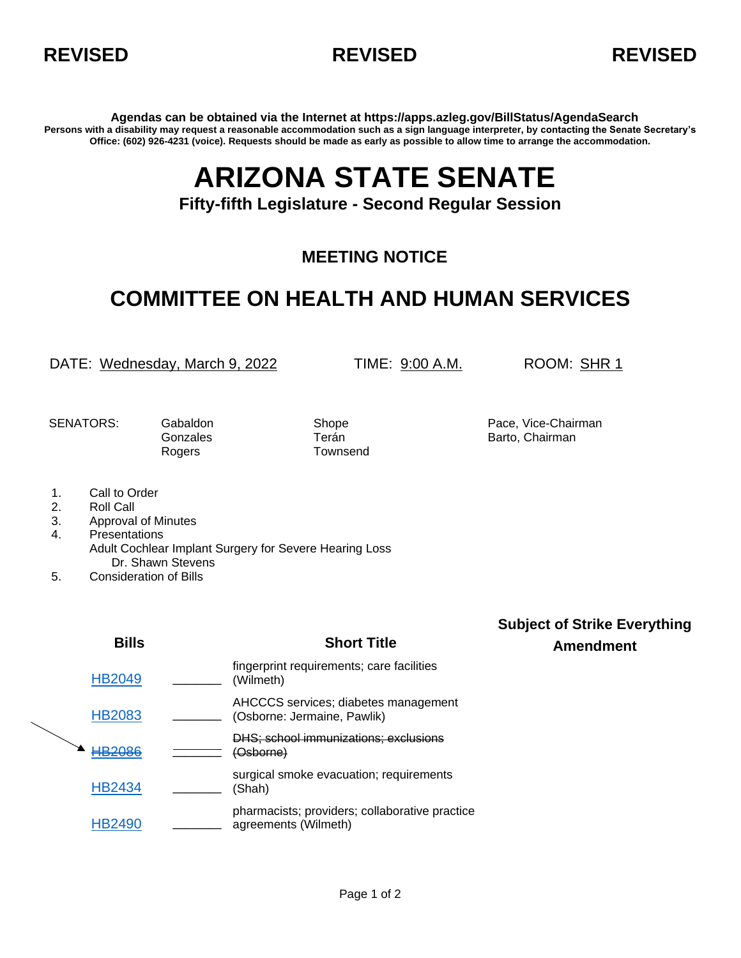



**Agendas can be obtained via the Internet at https://apps.azleg.gov/BillStatus/AgendaSearch Persons with a disability may request a reasonable accommodation such as a sign language interpreter, by contacting the Senate Secretary's Office: (602) 926-4231 (voice). Requests should be made as early as possible to allow time to arrange the accommodation.**

## **ARIZONA STATE SENATE**

**Fifty-fifth Legislature - Second Regular Session**

## **MEETING NOTICE**

## **COMMITTEE ON HEALTH AND HUMAN SERVICES**

DATE: Wednesday, March 9, 2022 TIME: 9:00 A.M. ROOM: SHR 1

Rogers Townsend

SENATORS: Gabaldon Shope Shope Pace, Vice-Chairman Gonzales **Terán** Terán Barto, Chairman

- 1. Call to Order
- 2. Roll Call
- 3. Approval of Minutes
- 4. Presentations Adult Cochlear Implant Surgery for Severe Hearing Loss Dr. Shawn Stevens
- 5. Consideration of Bills

|  | <b>Bills</b>  | <b>Short Title</b>                                                     | <b>Subject of Strike Everything</b><br><b>Amendment</b> |
|--|---------------|------------------------------------------------------------------------|---------------------------------------------------------|
|  | <b>HB2049</b> | fingerprint requirements; care facilities<br>(Wilmeth)                 |                                                         |
|  | <b>HB2083</b> | AHCCCS services; diabetes management<br>(Osborne: Jermaine, Pawlik)    |                                                         |
|  | <b>HB2086</b> | DHS; school immunizations; exclusions<br>(Osborne)                     |                                                         |
|  | <b>HB2434</b> | surgical smoke evacuation; requirements<br>(Shah)                      |                                                         |
|  | <b>HB2490</b> | pharmacists; providers; collaborative practice<br>agreements (Wilmeth) |                                                         |